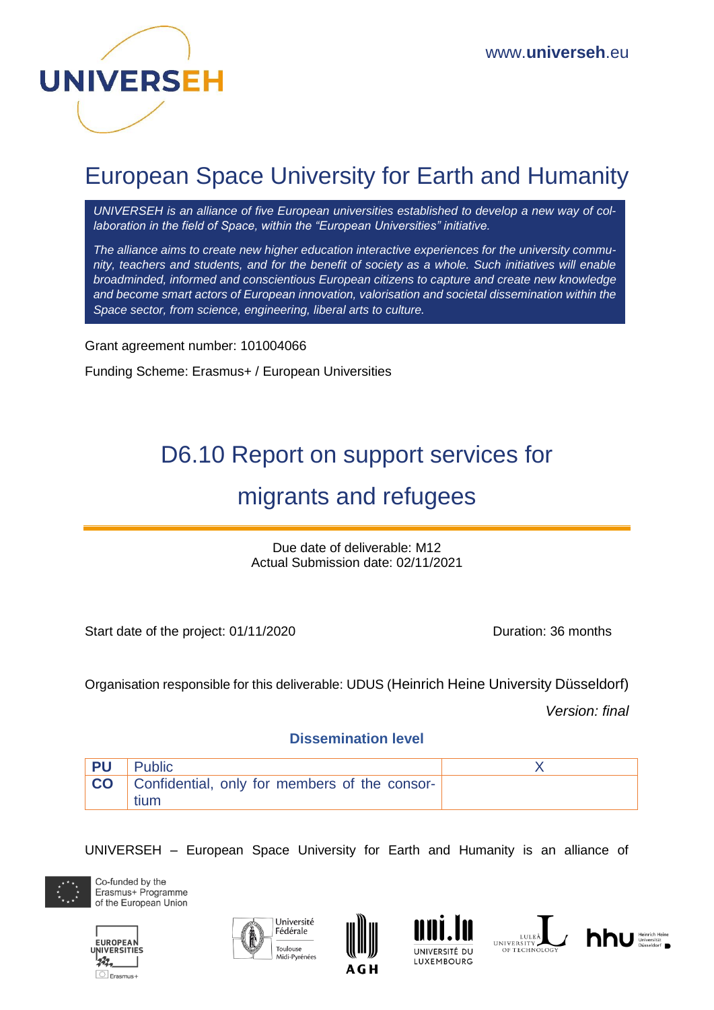

# European Space University for Earth and Humanity

*UNIVERSEH is an alliance of five European universities established to develop a new way of collaboration in the field of Space, within the "European Universities" initiative.*

*The alliance aims to create new higher education interactive experiences for the university community, teachers and students, and for the benefit of society as a whole. Such initiatives will enable broadminded, informed and conscientious European citizens to capture and create new knowledge and become smart actors of European innovation, valorisation and societal dissemination within the Space sector, from science, engineering, liberal arts to culture.*

Grant agreement number: 101004066

Funding Scheme: Erasmus+ / European Universities

# D6.10 Report on support services for

## migrants and refugees

Due date of deliverable: M12 Actual Submission date: 02/11/2021

Start date of the project: 01/11/2020 Duration: 36 months

Organisation responsible for this deliverable: UDUS (Heinrich Heine University Düsseldorf)

*Version: final*

#### **Dissemination level**

| PU | Public                                                          |  |
|----|-----------------------------------------------------------------|--|
|    | <b>CO</b> Confidential, only for members of the consor-<br>tium |  |

UNIVERSEH – European Space University for Earth and Humanity is an alliance of













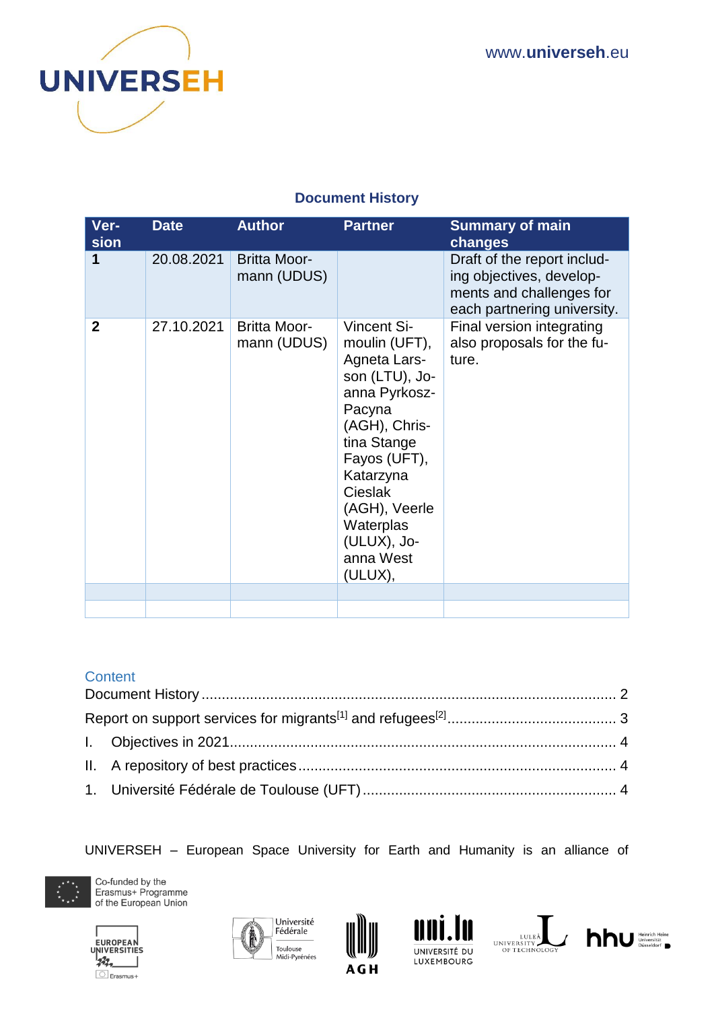

## **Document History**

<span id="page-1-0"></span>

| Ver-<br>sion   | <b>Date</b> | <b>Author</b>                      | <b>Partner</b>                                                                                                                                                                                                                                       | <b>Summary of main</b><br>changes                                                                                  |
|----------------|-------------|------------------------------------|------------------------------------------------------------------------------------------------------------------------------------------------------------------------------------------------------------------------------------------------------|--------------------------------------------------------------------------------------------------------------------|
| 1              | 20.08.2021  | <b>Britta Moor-</b><br>mann (UDUS) |                                                                                                                                                                                                                                                      | Draft of the report includ-<br>ing objectives, develop-<br>ments and challenges for<br>each partnering university. |
| $\overline{2}$ | 27.10.2021  | <b>Britta Moor-</b><br>mann (UDUS) | <b>Vincent Si-</b><br>moulin (UFT),<br>Agneta Lars-<br>son (LTU), Jo-<br>anna Pyrkosz-<br>Pacyna<br>(AGH), Chris-<br>tina Stange<br>Fayos (UFT),<br>Katarzyna<br><b>Cieslak</b><br>(AGH), Veerle<br>Waterplas<br>(ULUX), Jo-<br>anna West<br>(ULUX), | Final version integrating<br>also proposals for the fu-<br>ture.                                                   |
|                |             |                                    |                                                                                                                                                                                                                                                      |                                                                                                                    |

#### **Content**

UNIVERSEH – European Space University for Earth and Humanity is an alliance of











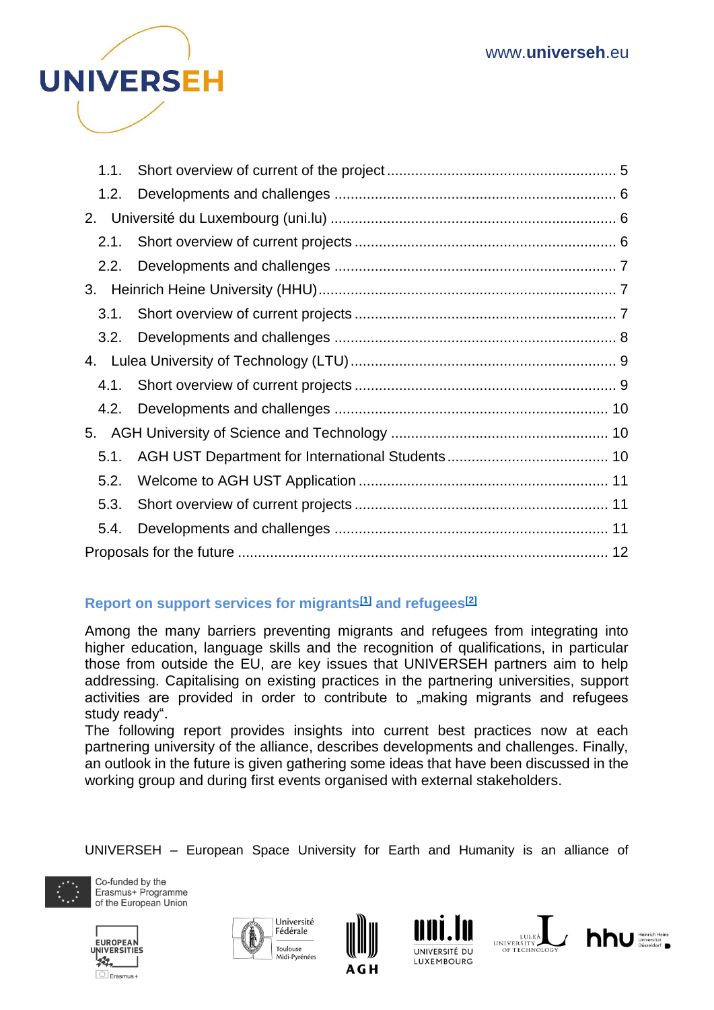

| 1.1. |  |
|------|--|
| 1.2. |  |
|      |  |
| 2.1. |  |
| 2.2. |  |
|      |  |
| 3.1. |  |
| 3.2. |  |
|      |  |
|      |  |
| 4.2. |  |
|      |  |
| 5.1. |  |
| 5.2. |  |
| 5.3. |  |
| 5.4. |  |
|      |  |

## <span id="page-2-0"></span>**Report on support services for migrants[\[1\]](https://euc-word-edit.officeapps.live.com/we/wordeditorframe.aspx?ui=de&rs=pl%2DPL&wopisrc=https%3A%2F%2Faghedupl-my.sharepoint.com%2Fpersonal%2Fjpyrkosz_agh_edu_pl%2F_vti_bin%2Fwopi.ashx%2Ffiles%2F355e4ed61680457bb14a850137604534&wdenableroaming=1&mscc=0&wdodb=1&hid=D29AFB9F-0060-3000-3CB7-92B861D17985&wdorigin=Sharing&jsapi=1&jsapiver=v1&newsession=1&corrid=c75fa889-928b-e3d6-9789-297292e72ef1&usid=c75fa889-928b-e3d6-9789-297292e72ef1&sftc=1&mtf=1&sfp=1&instantedit=1&wopicomplete=1&wdredirectionreason=Unified_SingleFlush&preseededsessionkey=e08efac4-5a72-2c06-12f4-ecc7a3c3c565&preseededwacsessionid=c75fa889-928b-e3d6-9789-297292e72ef1&rct=Medium&ctp=LeastProtected#_ftn1) and refugees[\[2\]](https://euc-word-edit.officeapps.live.com/we/wordeditorframe.aspx?ui=de&rs=pl%2DPL&wopisrc=https%3A%2F%2Faghedupl-my.sharepoint.com%2Fpersonal%2Fjpyrkosz_agh_edu_pl%2F_vti_bin%2Fwopi.ashx%2Ffiles%2F355e4ed61680457bb14a850137604534&wdenableroaming=1&mscc=0&wdodb=1&hid=D29AFB9F-0060-3000-3CB7-92B861D17985&wdorigin=Sharing&jsapi=1&jsapiver=v1&newsession=1&corrid=c75fa889-928b-e3d6-9789-297292e72ef1&usid=c75fa889-928b-e3d6-9789-297292e72ef1&sftc=1&mtf=1&sfp=1&instantedit=1&wopicomplete=1&wdredirectionreason=Unified_SingleFlush&preseededsessionkey=e08efac4-5a72-2c06-12f4-ecc7a3c3c565&preseededwacsessionid=c75fa889-928b-e3d6-9789-297292e72ef1&rct=Medium&ctp=LeastProtected#_ftn2)**

Among the many barriers preventing migrants and refugees from integrating into higher education, language skills and the recognition of qualifications, in particular those from outside the EU, are key issues that UNIVERSEH partners aim to help addressing. Capitalising on existing practices in the partnering universities, support activities are provided in order to contribute to "making migrants and refugees study ready".

The following report provides insights into current best practices now at each partnering university of the alliance, describes developments and challenges. Finally, an outlook in the future is given gathering some ideas that have been discussed in the working group and during first events organised with external stakeholders.

UNIVERSEH – European Space University for Earth and Humanity is an alliance of













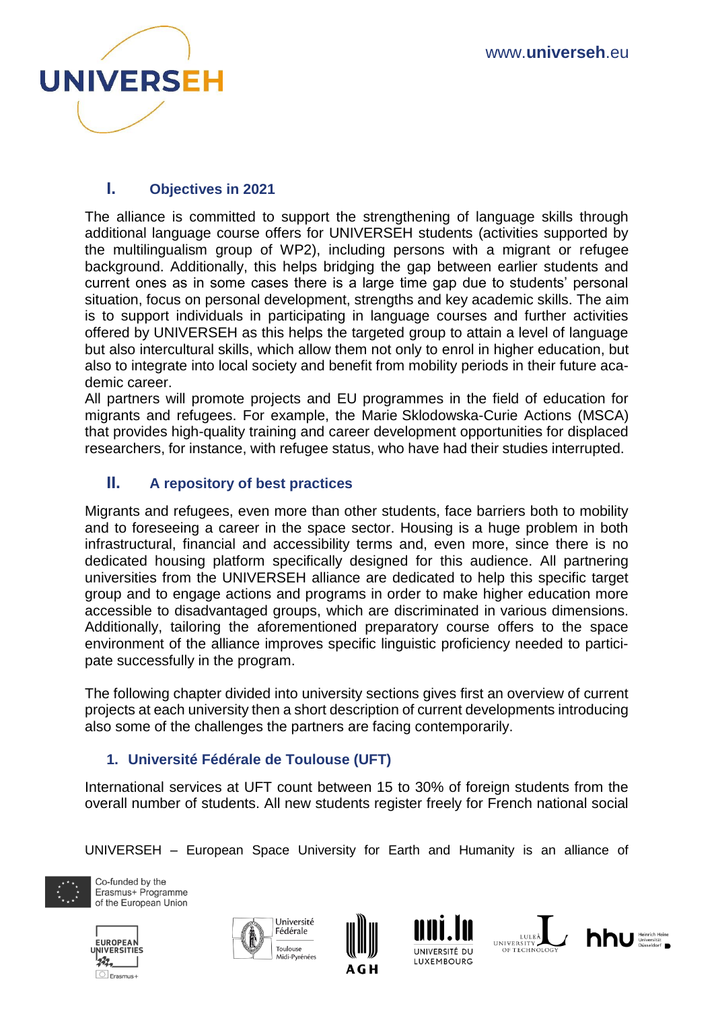

## <span id="page-3-0"></span>**I. Objectives in 2021**

The alliance is committed to support the strengthening of language skills through additional language course offers for UNIVERSEH students (activities supported by the multilingualism group of WP2), including persons with a migrant or refugee background. Additionally, this helps bridging the gap between earlier students and current ones as in some cases there is a large time gap due to students' personal situation, focus on personal development, strengths and key academic skills. The aim is to support individuals in participating in language courses and further activities offered by UNIVERSEH as this helps the targeted group to attain a level of language but also intercultural skills, which allow them not only to enrol in higher education, but also to integrate into local society and benefit from mobility periods in their future academic career.

All partners will promote projects and EU programmes in the field of education for migrants and refugees. For example, the Marie Sklodowska-Curie Actions (MSCA) that provides high-quality training and career development opportunities for displaced researchers, for instance, with refugee status, who have had their studies interrupted.

## <span id="page-3-1"></span>**II. A repository of best practices**

Migrants and refugees, even more than other students, face barriers both to mobility and to foreseeing a career in the space sector. Housing is a huge problem in both infrastructural, financial and accessibility terms and, even more, since there is no dedicated housing platform specifically designed for this audience. All partnering universities from the UNIVERSEH alliance are dedicated to help this specific target group and to engage actions and programs in order to make higher education more accessible to disadvantaged groups, which are discriminated in various dimensions. Additionally, tailoring the aforementioned preparatory course offers to the space environment of the alliance improves specific linguistic proficiency needed to participate successfully in the program.

The following chapter divided into university sections gives first an overview of current projects at each university then a short description of current developments introducing also some of the challenges the partners are facing contemporarily.

## <span id="page-3-2"></span>**1. Université Fédérale de Toulouse (UFT)**

International services at UFT count between 15 to 30% of foreign students from the overall number of students. All new students register freely for French national social

UNIVERSEH – European Space University for Earth and Humanity is an alliance of













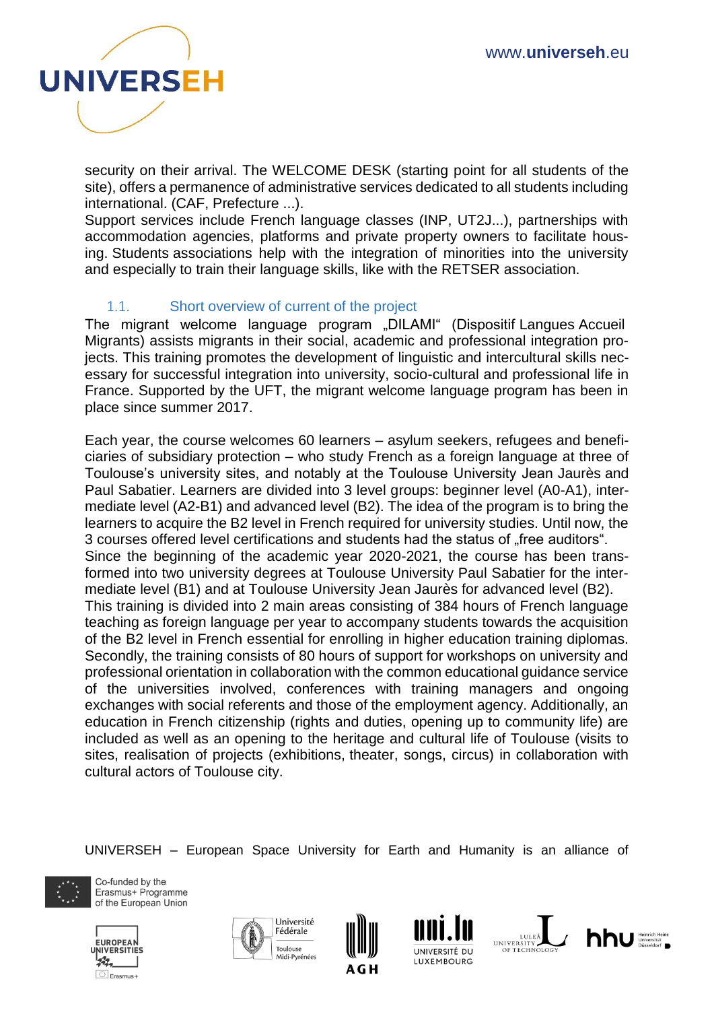

security on their arrival. The WELCOME DESK (starting point for all students of the site), offers a permanence of administrative services dedicated to all students including international. (CAF, Prefecture ...).

Support services include French language classes (INP, UT2J...), partnerships with accommodation agencies, platforms and private property owners to facilitate housing. Students associations help with the integration of minorities into the university and especially to train their language skills, like with the RETSER association.

#### <span id="page-4-0"></span>1.1. Short overview of current of the project

The migrant welcome language program "DILAMI" (Dispositif Langues Accueil Migrants) assists migrants in their social, academic and professional integration projects. This training promotes the development of linguistic and intercultural skills necessary for successful integration into university, socio-cultural and professional life in France. Supported by the UFT, the migrant welcome language program has been in place since summer 2017.

Each year, the course welcomes 60 learners – asylum seekers, refugees and beneficiaries of subsidiary protection – who study French as a foreign language at three of Toulouse's university sites, and notably at the Toulouse University Jean Jaurès and Paul Sabatier. Learners are divided into 3 level groups: beginner level (A0-A1), intermediate level (A2-B1) and advanced level (B2). The idea of the program is to bring the learners to acquire the B2 level in French required for university studies. Until now, the 3 courses offered level certifications and students had the status of "free auditors". Since the beginning of the academic year 2020-2021, the course has been transformed into two university degrees at Toulouse University Paul Sabatier for the intermediate level (B1) and at Toulouse University Jean Jaurès for advanced level (B2). This training is divided into 2 main areas consisting of 384 hours of French language teaching as foreign language per year to accompany students towards the acquisition of the B2 level in French essential for enrolling in higher education training diplomas. Secondly, the training consists of 80 hours of support for workshops on university and professional orientation in collaboration with the common educational guidance service of the universities involved, conferences with training managers and ongoing exchanges with social referents and those of the employment agency. Additionally, an education in French citizenship (rights and duties, opening up to community life) are included as well as an opening to the heritage and cultural life of Toulouse (visits to sites, realisation of projects (exhibitions, theater, songs, circus) in collaboration with cultural actors of Toulouse city.

UNIVERSEH – European Space University for Earth and Humanity is an alliance of













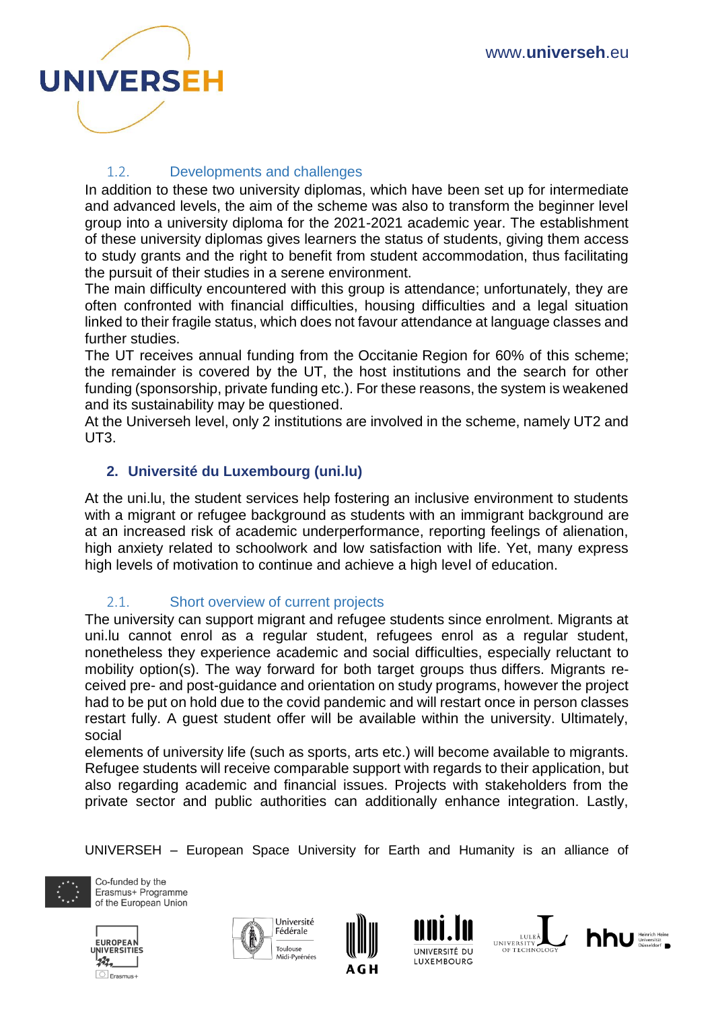

### 1.2. Developments and challenges

<span id="page-5-0"></span>In addition to these two university diplomas, which have been set up for intermediate and advanced levels, the aim of the scheme was also to transform the beginner level group into a university diploma for the 2021-2021 academic year. The establishment of these university diplomas gives learners the status of students, giving them access to study grants and the right to benefit from student accommodation, thus facilitating the pursuit of their studies in a serene environment.

The main difficulty encountered with this group is attendance; unfortunately, they are often confronted with financial difficulties, housing difficulties and a legal situation linked to their fragile status, which does not favour attendance at language classes and further studies.

The UT receives annual funding from the Occitanie Region for 60% of this scheme; the remainder is covered by the UT, the host institutions and the search for other funding (sponsorship, private funding etc.). For these reasons, the system is weakened and its sustainability may be questioned.

At the Universeh level, only 2 institutions are involved in the scheme, namely UT2 and UT3.

#### <span id="page-5-1"></span>**2. Université du Luxembourg (uni.lu)**

At the uni.lu, the student services help fostering an inclusive environment to students with a migrant or refugee background as students with an immigrant background are at an increased risk of academic underperformance, reporting feelings of alienation, high anxiety related to schoolwork and low satisfaction with life. Yet, many express high levels of motivation to continue and achieve a high level of education.

#### <span id="page-5-2"></span>2.1. Short overview of current projects

The university can support migrant and refugee students since enrolment. Migrants at uni.lu cannot enrol as a regular student, refugees enrol as a regular student, nonetheless they experience academic and social difficulties, especially reluctant to mobility option(s). The way forward for both target groups thus differs. Migrants received pre- and post-guidance and orientation on study programs, however the project had to be put on hold due to the covid pandemic and will restart once in person classes restart fully. A guest student offer will be available within the university. Ultimately, social

elements of university life (such as sports, arts etc.) will become available to migrants. Refugee students will receive comparable support with regards to their application, but also regarding academic and financial issues. Projects with stakeholders from the private sector and public authorities can additionally enhance integration. Lastly,

UNIVERSEH – European Space University for Earth and Humanity is an alliance of













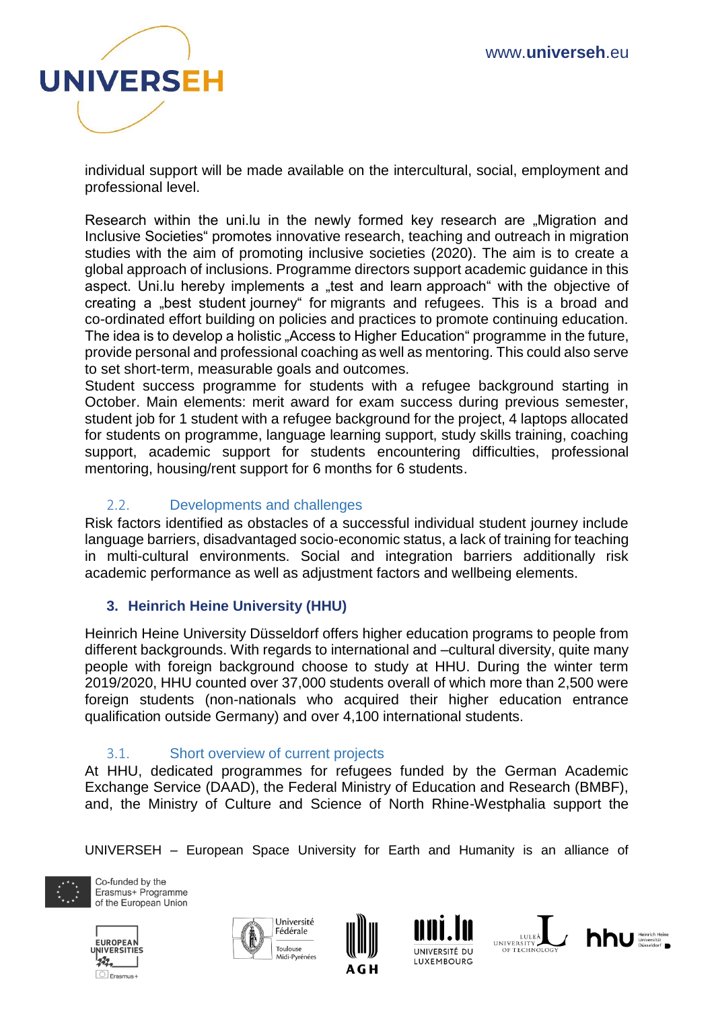

individual support will be made available on the intercultural, social, employment and professional level.

Research within the uni.lu in the newly formed key research are "Migration and Inclusive Societies" promotes innovative research, teaching and outreach in migration studies with the aim of promoting inclusive societies (2020). The aim is to create a global approach of inclusions. Programme directors support academic guidance in this aspect. Uni.lu hereby implements a "test and learn approach" with the objective of creating a "best student journey" for migrants and refugees. This is a broad and co-ordinated effort building on policies and practices to promote continuing education. The idea is to develop a holistic "Access to Higher Education" programme in the future, provide personal and professional coaching as well as mentoring. This could also serve to set short-term, measurable goals and outcomes.

Student success programme for students with a refugee background starting in October. Main elements: merit award for exam success during previous semester, student job for 1 student with a refugee background for the project, 4 laptops allocated for students on programme, language learning support, study skills training, coaching support, academic support for students encountering difficulties, professional mentoring, housing/rent support for 6 months for 6 students.

#### <span id="page-6-0"></span>2.2. Developments and challenges

Risk factors identified as obstacles of a successful individual student journey include language barriers, disadvantaged socio-economic status, a lack of training for teaching in multi-cultural environments. Social and integration barriers additionally risk academic performance as well as adjustment factors and wellbeing elements.

#### <span id="page-6-1"></span>**3. Heinrich Heine University (HHU)**

Heinrich Heine University Düsseldorf offers higher education programs to people from different backgrounds. With regards to international and –cultural diversity, quite many people with foreign background choose to study at HHU. During the winter term 2019/2020, HHU counted over 37,000 students overall of which more than 2,500 were foreign students (non-nationals who acquired their higher education entrance qualification outside Germany) and over 4,100 international students.

#### 3.1. Short overview of current projects

<span id="page-6-2"></span>At HHU, dedicated programmes for refugees funded by the German Academic Exchange Service (DAAD), the Federal Ministry of Education and Research (BMBF), and, the Ministry of Culture and Science of North Rhine-Westphalia support the

UNIVERSEH – European Space University for Earth and Humanity is an alliance of













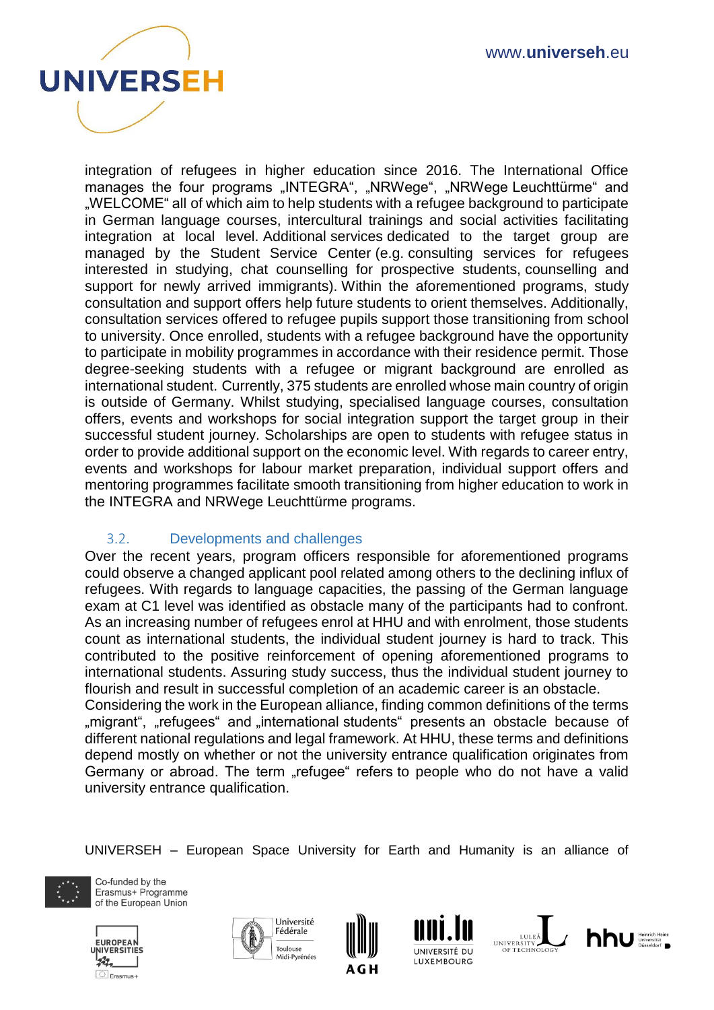

integration of refugees in higher education since 2016. The International Office manages the four programs "INTEGRA", "NRWege", "NRWege Leuchttürme" and "WELCOME" all of which aim to help students with a refugee background to participate in German language courses, intercultural trainings and social activities facilitating integration at local level. Additional services dedicated to the target group are managed by the Student Service Center (e.g. consulting services for refugees interested in studying, chat counselling for prospective students, counselling and support for newly arrived immigrants). Within the aforementioned programs, study consultation and support offers help future students to orient themselves. Additionally, consultation services offered to refugee pupils support those transitioning from school to university. Once enrolled, students with a refugee background have the opportunity to participate in mobility programmes in accordance with their residence permit. Those degree-seeking students with a refugee or migrant background are enrolled as international student. Currently, 375 students are enrolled whose main country of origin is outside of Germany. Whilst studying, specialised language courses, consultation offers, events and workshops for social integration support the target group in their successful student journey. Scholarships are open to students with refugee status in order to provide additional support on the economic level. With regards to career entry, events and workshops for labour market preparation, individual support offers and mentoring programmes facilitate smooth transitioning from higher education to work in the INTEGRA and NRWege Leuchttürme programs.

#### 3.2. Developments and challenges

<span id="page-7-0"></span>Over the recent years, program officers responsible for aforementioned programs could observe a changed applicant pool related among others to the declining influx of refugees. With regards to language capacities, the passing of the German language exam at C1 level was identified as obstacle many of the participants had to confront. As an increasing number of refugees enrol at HHU and with enrolment, those students count as international students, the individual student journey is hard to track. This contributed to the positive reinforcement of opening aforementioned programs to international students. Assuring study success, thus the individual student journey to flourish and result in successful completion of an academic career is an obstacle. Considering the work in the European alliance, finding common definitions of the terms

", migrant", "refugees" and "international students" presents an obstacle because of different national regulations and legal framework. At HHU, these terms and definitions depend mostly on whether or not the university entrance qualification originates from Germany or abroad. The term "refugee" refers to people who do not have a valid university entrance qualification.

UNIVERSEH – European Space University for Earth and Humanity is an alliance of













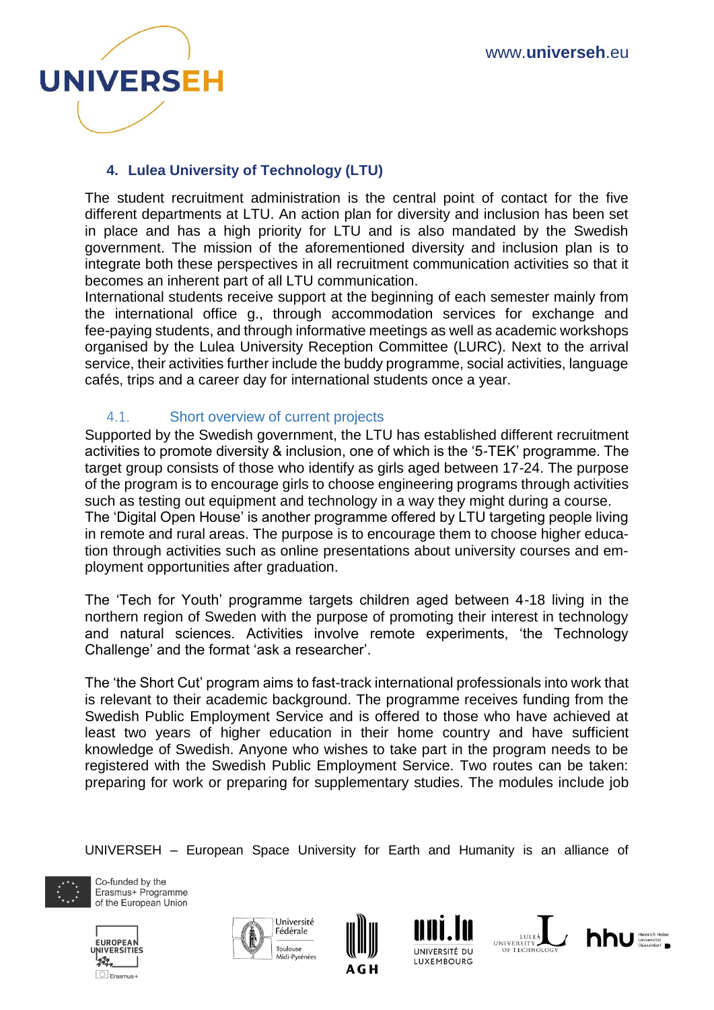

## <span id="page-8-0"></span>**4. Lulea University of Technology (LTU)**

The student recruitment administration is the central point of contact for the five different departments at LTU. An action plan for diversity and inclusion has been set in place and has a high priority for LTU and is also mandated by the Swedish government. The mission of the aforementioned diversity and inclusion plan is to integrate both these perspectives in all recruitment communication activities so that it becomes an inherent part of all LTU communication.

International students receive support at the beginning of each semester mainly from the international office g., through accommodation services for exchange and fee-paying students, and through informative meetings as well as academic workshops organised by the Lulea University Reception Committee (LURC). Next to the arrival service, their activities further include the buddy programme, social activities, language cafés, trips and a career day for international students once a year.

#### <span id="page-8-1"></span>4.1. Short overview of current projects

Supported by the Swedish government, the LTU has established different recruitment activities to promote diversity & inclusion, one of which is the '5-TEK' programme. The target group consists of those who identify as girls aged between 17-24. The purpose of the program is to encourage girls to choose engineering programs through activities such as testing out equipment and technology in a way they might during a course. The 'Digital Open House' is another programme offered by LTU targeting people living in remote and rural areas. The purpose is to encourage them to choose higher education through activities such as online presentations about university courses and employment opportunities after graduation.

The 'Tech for Youth' programme targets children aged between 4-18 living in the northern region of Sweden with the purpose of promoting their interest in technology and natural sciences. Activities involve remote experiments, 'the Technology Challenge' and the format 'ask a researcher'.

The 'the Short Cut' program aims to fast-track international professionals into work that is relevant to their academic background. The programme receives funding from the Swedish Public Employment Service and is offered to those who have achieved at least two years of higher education in their home country and have sufficient knowledge of Swedish. Anyone who wishes to take part in the program needs to be registered with the Swedish Public Employment Service. Two routes can be taken: preparing for work or preparing for supplementary studies. The modules include job

UNIVERSEH – European Space University for Earth and Humanity is an alliance of













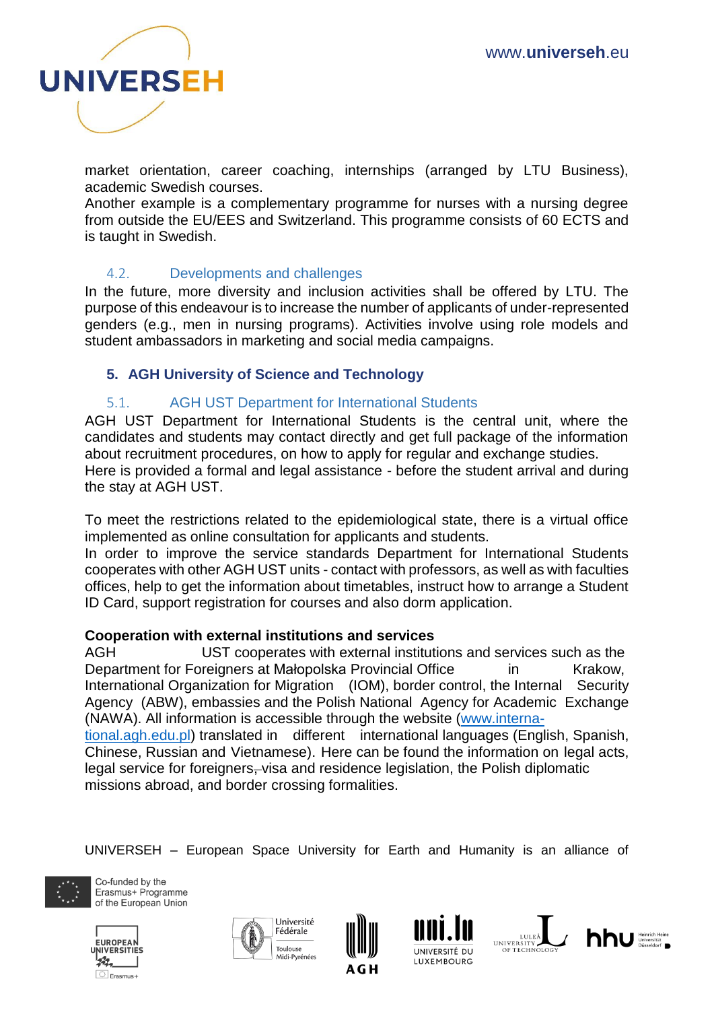

market orientation, career coaching, internships (arranged by LTU Business), academic Swedish courses.

Another example is a complementary programme for nurses with a nursing degree from outside the EU/EES and Switzerland. This programme consists of 60 ECTS and is taught in Swedish.

#### 4.2. Developments and challenges

<span id="page-9-0"></span>In the future, more diversity and inclusion activities shall be offered by LTU. The purpose of this endeavour is to increase the number of applicants of under-represented genders (e.g., men in nursing programs). Activities involve using role models and student ambassadors in marketing and social media campaigns.

#### <span id="page-9-1"></span>**5. AGH University of Science and Technology**

#### 5.1. AGH UST Department for International Students

<span id="page-9-2"></span>AGH UST Department for International Students is the central unit, where the candidates and students may contact directly and get full package of the information about recruitment procedures, on how to apply for regular and exchange studies. Here is provided a formal and legal assistance - before the student arrival and during the stay at AGH UST.

To meet the restrictions related to the epidemiological state, there is a virtual office implemented as online consultation for applicants and students.

In order to improve the service standards Department for International Students cooperates with other AGH UST units - contact with professors, as well as with faculties offices, help to get the information about timetables, instruct how to arrange a Student ID Card, support registration for courses and also dorm application.

#### **Cooperation with external institutions and services**

AGH UST cooperates with external institutions and services such as the Department for Foreigners at Małopolska Provincial Office in Krakow, International Organization for Migration (IOM), border control, the Internal Security Agency (ABW), embassies and the Polish National Agency for Academic Exchange (NAWA). All information is accessible through the website [\(www.interna-](http://www.international.agh.edu.pl/)

[tional.agh.edu.pl\)](http://www.international.agh.edu.pl/) translated in different international languages (English, Spanish, Chinese, Russian and Vietnamese). Here can be found the information on legal acts, legal service for foreigners–visa and residence legislation, the Polish diplomatic missions abroad, and border crossing formalities.

UNIVERSEH – European Space University for Earth and Humanity is an alliance of













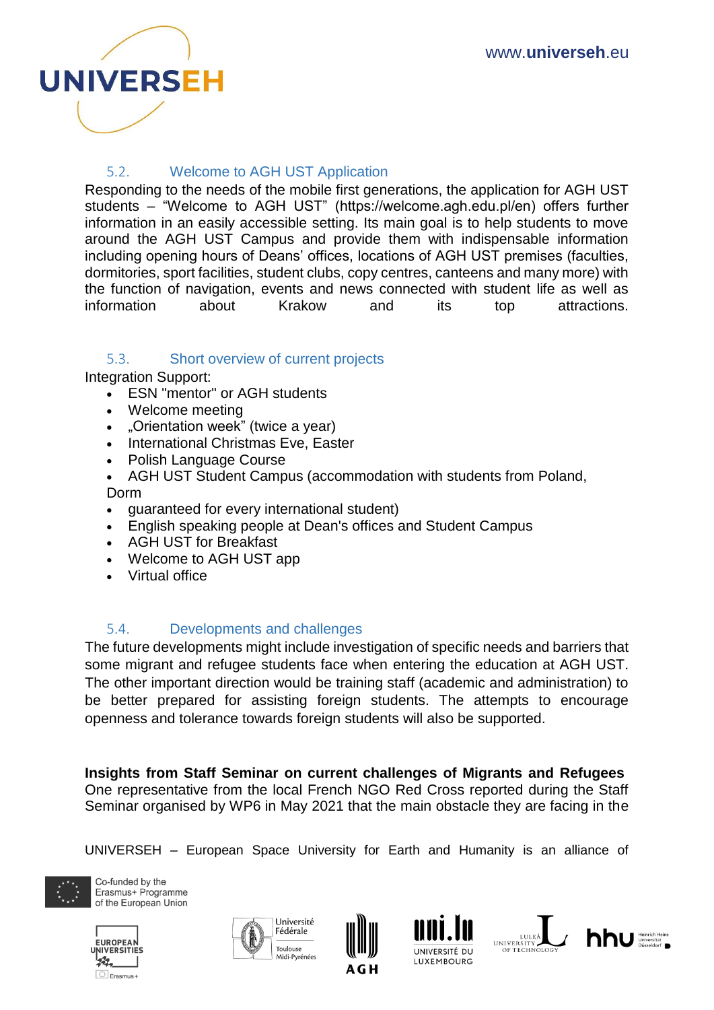

## 5.2. Welcome to AGH UST Application

<span id="page-10-0"></span>Responding to the needs of the mobile first generations, the application for AGH UST students – "Welcome to AGH UST" (https://welcome.agh.edu.pl/en) offers further information in an easily accessible setting. Its main goal is to help students to move around the AGH UST Campus and provide them with indispensable information including opening hours of Deans' offices, locations of AGH UST premises (faculties, dormitories, sport facilities, student clubs, copy centres, canteens and many more) with the function of navigation, events and news connected with student life as well as information about Krakow and its top attractions.

#### <span id="page-10-1"></span>5.3. Short overview of current projects

Integration Support:

- ESN "mentor" or AGH students
- Welcome meeting
- . "Orientation week" (twice a year)
- International Christmas Eve, Easter
- Polish Language Course
- AGH UST Student Campus (accommodation with students from Poland, Dorm
- guaranteed for every international student)
- English speaking people at Dean's offices and Student Campus
- AGH UST for Breakfast
- Welcome to AGH UST app
- Virtual office

#### 5.4. Developments and challenges

<span id="page-10-2"></span>The future developments might include investigation of specific needs and barriers that some migrant and refugee students face when entering the education at AGH UST. The other important direction would be training staff (academic and administration) to be better prepared for assisting foreign students. The attempts to encourage openness and tolerance towards foreign students will also be supported.

**Insights from Staff Seminar on current challenges of Migrants and Refugees** One representative from the local French NGO Red Cross reported during the Staff Seminar organised by WP6 in May 2021 that the main obstacle they are facing in the

UNIVERSEH – European Space University for Earth and Humanity is an alliance of













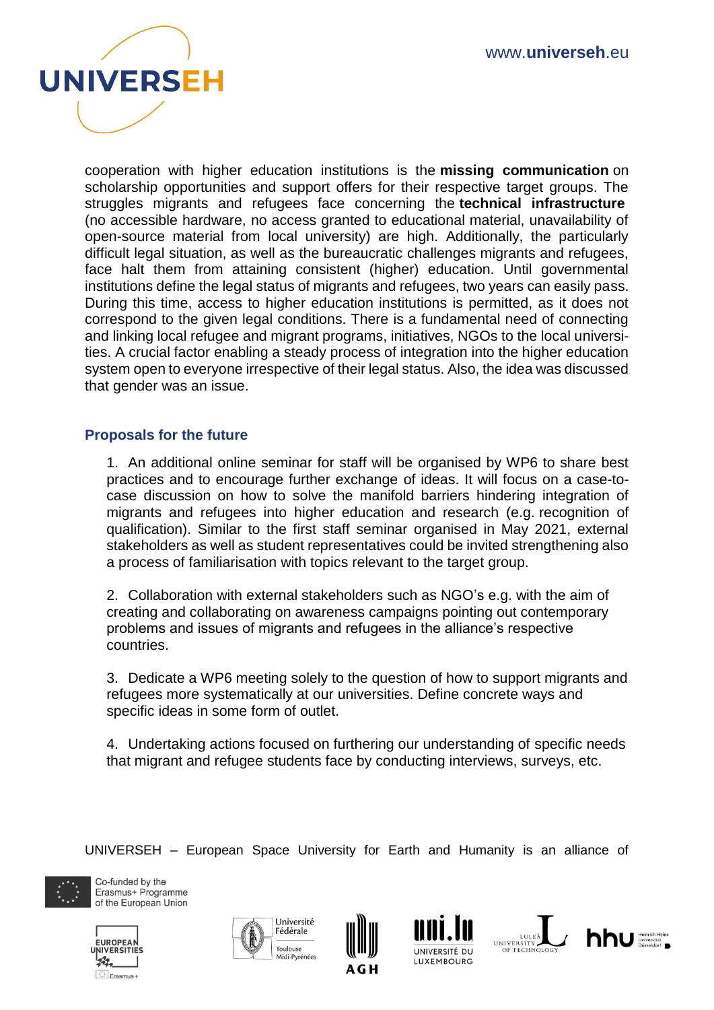

cooperation with higher education institutions is the **missing communication** on scholarship opportunities and support offers for their respective target groups. The struggles migrants and refugees face concerning the **technical infrastructure** (no accessible hardware, no access granted to educational material, unavailability of open-source material from local university) are high. Additionally, the particularly difficult legal situation, as well as the bureaucratic challenges migrants and refugees, face halt them from attaining consistent (higher) education. Until governmental institutions define the legal status of migrants and refugees, two years can easily pass. During this time, access to higher education institutions is permitted, as it does not correspond to the given legal conditions. There is a fundamental need of connecting and linking local refugee and migrant programs, initiatives, NGOs to the local universities. A crucial factor enabling a steady process of integration into the higher education system open to everyone irrespective of their legal status. Also, the idea was discussed that gender was an issue.

#### <span id="page-11-0"></span>**Proposals for the future**

1. An additional online seminar for staff will be organised by WP6 to share best practices and to encourage further exchange of ideas. It will focus on a case-tocase discussion on how to solve the manifold barriers hindering integration of migrants and refugees into higher education and research (e.g. recognition of qualification). Similar to the first staff seminar organised in May 2021, external stakeholders as well as student representatives could be invited strengthening also a process of familiarisation with topics relevant to the target group.

2. Collaboration with external stakeholders such as NGO's e.g. with the aim of creating and collaborating on awareness campaigns pointing out contemporary problems and issues of migrants and refugees in the alliance's respective countries.

3. Dedicate a WP6 meeting solely to the question of how to support migrants and refugees more systematically at our universities. Define concrete ways and specific ideas in some form of outlet.

4. Undertaking actions focused on furthering our understanding of specific needs that migrant and refugee students face by conducting interviews, surveys, etc.

UNIVERSEH – European Space University for Earth and Humanity is an alliance of